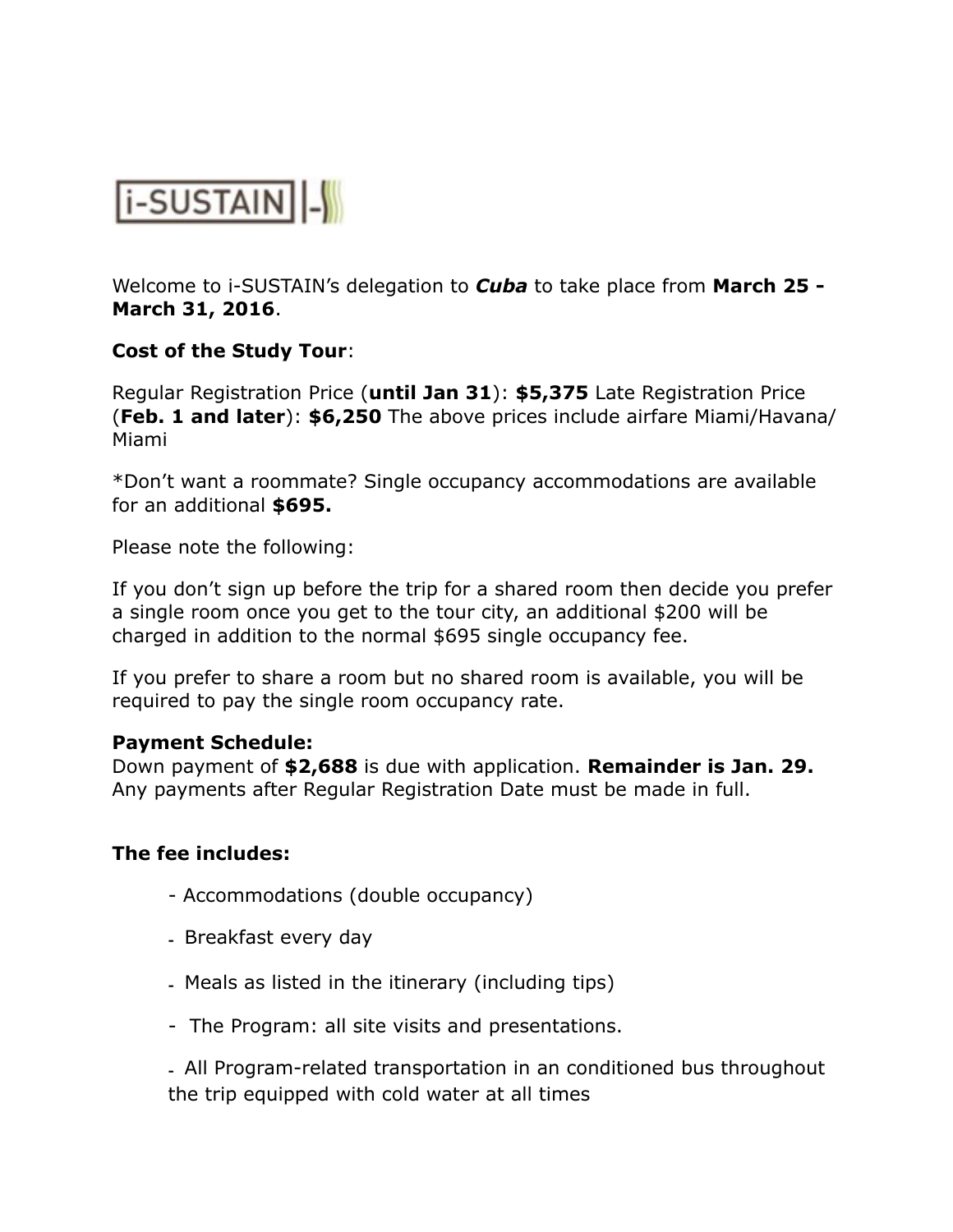

Welcome to i-SUSTAIN's delegation to *Cuba* to take place from **March 25 - March 31, 2016**.

# **Cost of the Study Tour**:

Regular Registration Price (**until Jan 31**): **\$5,375** Late Registration Price (**Feb. 1 and later**): **\$6,250** The above prices include airfare Miami/Havana/ Miami

\*Don't want a roommate? Single occupancy accommodations are available for an additional **\$695.** 

Please note the following:

If you don't sign up before the trip for a shared room then decide you prefer a single room once you get to the tour city, an additional \$200 will be charged in addition to the normal \$695 single occupancy fee.

If you prefer to share a room but no shared room is available, you will be required to pay the single room occupancy rate.

#### **Payment Schedule:**

Down payment of **\$2,688** is due with application. **Remainder is Jan. 29.**  Any payments after Regular Registration Date must be made in full.

### **The fee includes:**

- Accommodations (double occupancy)
- Breakfast every day
- Meals as listed in the itinerary (including tips)
- The Program: all site visits and presentations.

- All Program-related transportation in an conditioned bus throughout the trip equipped with cold water at all times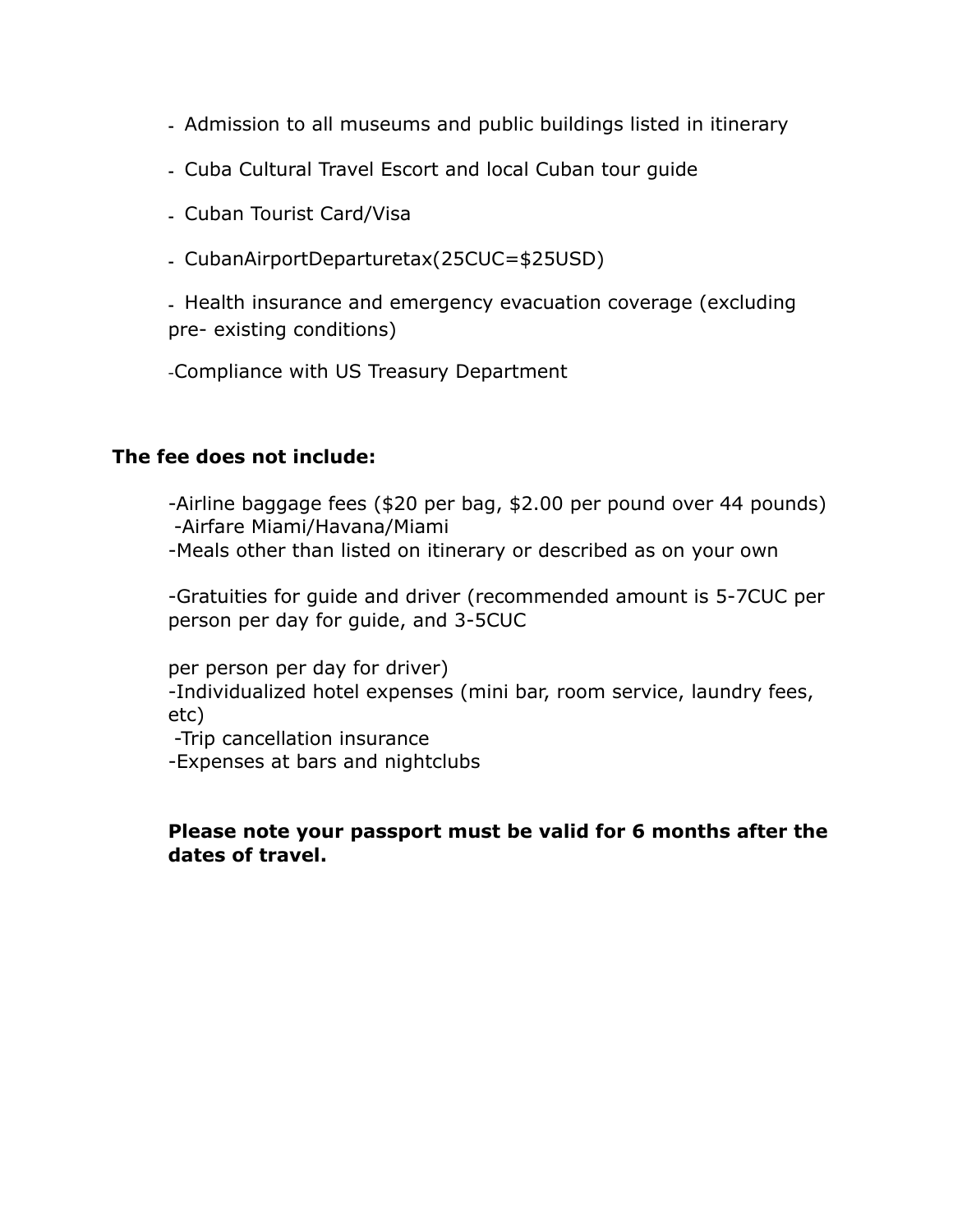- Admission to all museums and public buildings listed in itinerary
- Cuba Cultural Travel Escort and local Cuban tour guide
- Cuban Tourist Card/Visa
- CubanAirportDeparturetax(25CUC=\$25USD)

- Health insurance and emergency evacuation coverage (excluding pre- existing conditions)

-Compliance with US Treasury Department

# **The fee does not include:**

-Airline baggage fees (\$20 per bag, \$2.00 per pound over 44 pounds) -Airfare Miami/Havana/Miami -Meals other than listed on itinerary or described as on your own

-Gratuities for guide and driver (recommended amount is 5-7CUC per person per day for guide, and 3-5CUC

per person per day for driver) -Individualized hotel expenses (mini bar, room service, laundry fees, etc)

-Trip cancellation insurance

-Expenses at bars and nightclubs

### **Please note your passport must be valid for 6 months after the dates of travel.**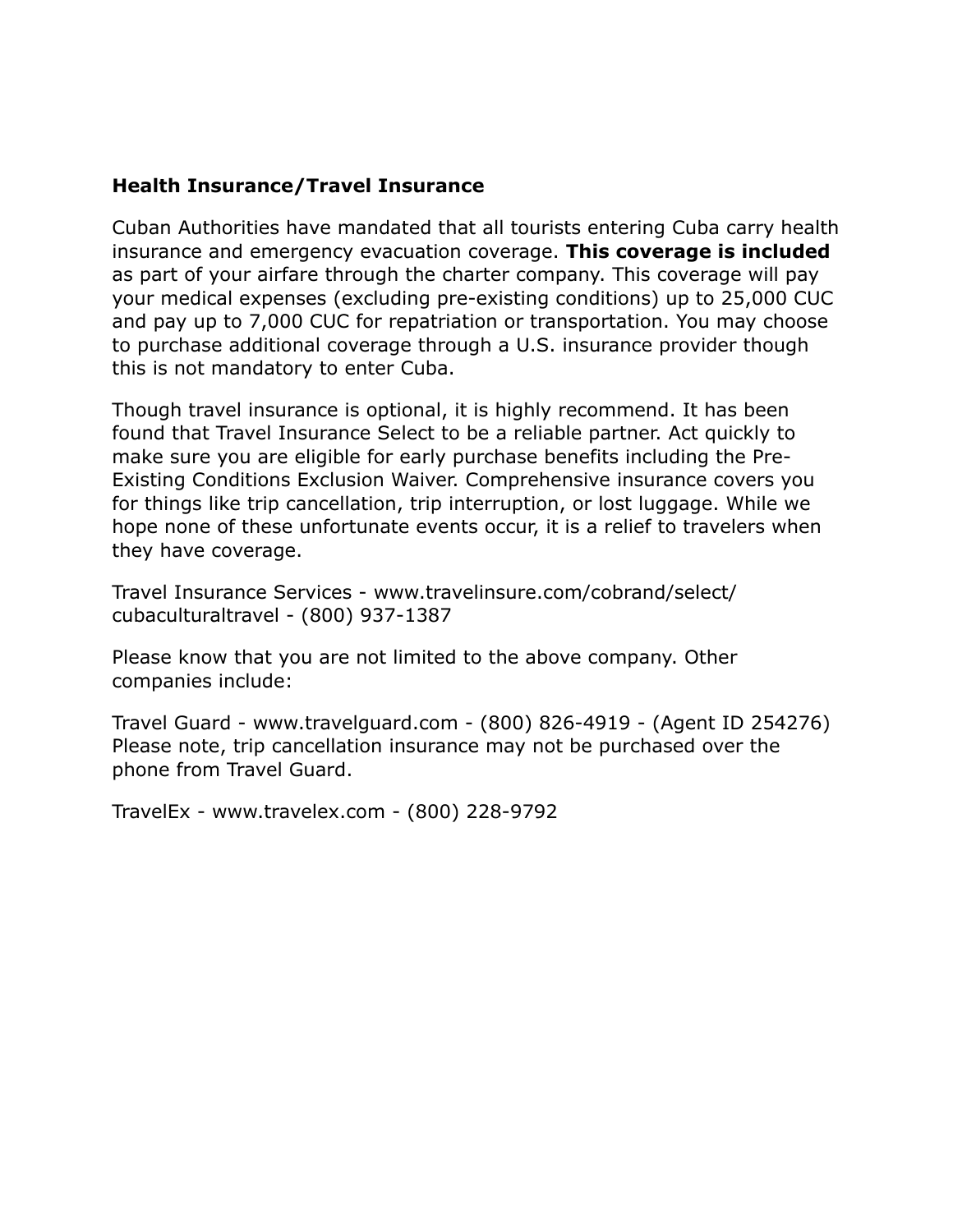# **Health Insurance/Travel Insurance**

Cuban Authorities have mandated that all tourists entering Cuba carry health insurance and emergency evacuation coverage. **This coverage is included**  as part of your airfare through the charter company. This coverage will pay your medical expenses (excluding pre-existing conditions) up to 25,000 CUC and pay up to 7,000 CUC for repatriation or transportation. You may choose to purchase additional coverage through a U.S. insurance provider though this is not mandatory to enter Cuba.

Though travel insurance is optional, it is highly recommend. It has been found that Travel Insurance Select to be a reliable partner. Act quickly to make sure you are eligible for early purchase benefits including the Pre-Existing Conditions Exclusion Waiver. Comprehensive insurance covers you for things like trip cancellation, trip interruption, or lost luggage. While we hope none of these unfortunate events occur, it is a relief to travelers when they have coverage.

Travel Insurance Services - www.travelinsure.com/cobrand/select/ cubaculturaltravel - (800) 937-1387

Please know that you are not limited to the above company. Other companies include:

Travel Guard - www.travelguard.com - (800) 826-4919 - (Agent ID 254276) Please note, trip cancellation insurance may not be purchased over the phone from Travel Guard.

TravelEx - www.travelex.com - (800) 228-9792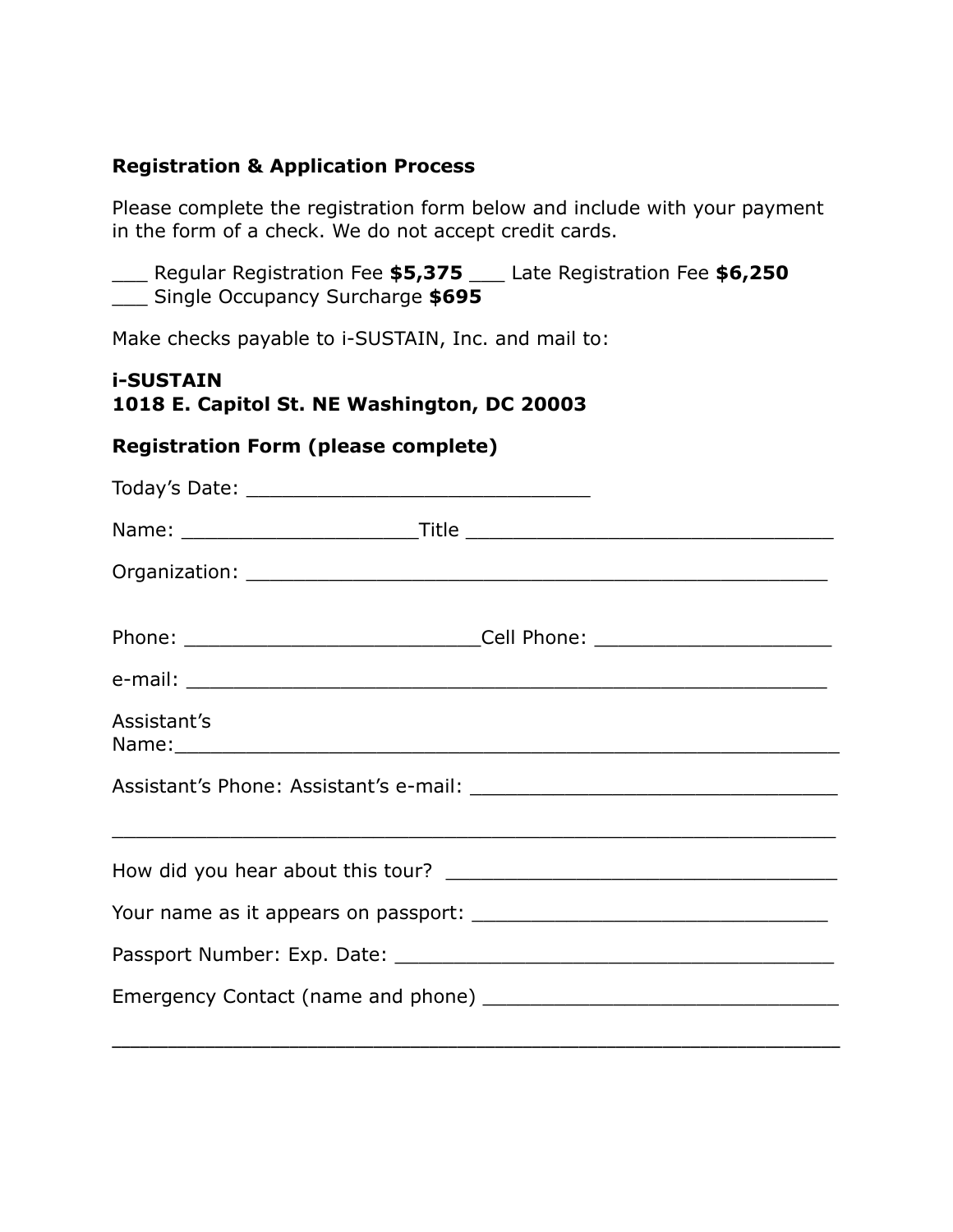# **Registration & Application Process**

Please complete the registration form below and include with your payment in the form of a check. We do not accept credit cards.

\_\_\_ Regular Registration Fee **\$5,375** \_\_\_ Late Registration Fee **\$6,250** \_\_\_ Single Occupancy Surcharge **\$695** 

Make checks payable to i-SUSTAIN, Inc. and mail to:

### **i-SUSTAIN 1018 E. Capitol St. NE Washington, DC 20003**

# **Registration Form (please complete)**

|                                                                                                                                                                                                                                              | Phone: ___________________________________Cell Phone: __________________________ |
|----------------------------------------------------------------------------------------------------------------------------------------------------------------------------------------------------------------------------------------------|----------------------------------------------------------------------------------|
|                                                                                                                                                                                                                                              |                                                                                  |
| Assistant's<br>Name: Name and the second contract of the second contract of the second contract of the second contract of the second contract of the second contract of the second contract of the second contract of the second contract of |                                                                                  |
|                                                                                                                                                                                                                                              |                                                                                  |
|                                                                                                                                                                                                                                              |                                                                                  |
|                                                                                                                                                                                                                                              |                                                                                  |
|                                                                                                                                                                                                                                              |                                                                                  |
|                                                                                                                                                                                                                                              |                                                                                  |